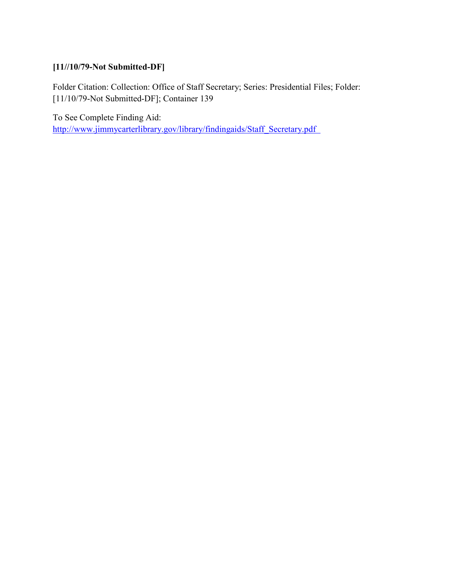# **[11//10/79-Not Submitted-DF]**

Folder Citation: Collection: Office of Staff Secretary; Series: Presidential Files; Folder: [11/10/79-Not Submitted-DF]; Container 139

To See Complete Finding Aid: [http://www.jimmycarterlibrary.gov/library/findingaids/Staff\\_Secretary.pdf](http://www.jimmycarterlibrary.gov/library/findingaids/Staff_Secretary.pdf)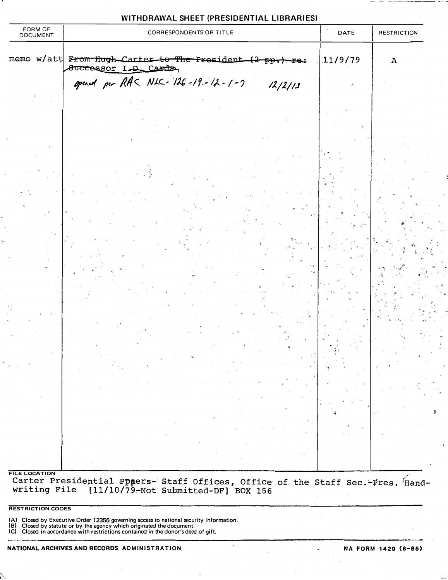| WITHDRAWAL SHEET (PRESIDENTIAL LIBRARIES) |
|-------------------------------------------|
|-------------------------------------------|

| FORM OF<br>DOCUMENT  |  | CORRESPONDENTS OR TITLE                                                                    | DATE    | <b>RESTRICTION</b> |
|----------------------|--|--------------------------------------------------------------------------------------------|---------|--------------------|
|                      |  | memo w/att From Hugh Carter to The President (2 pp.)<br>fe:<br><b>Successor I.D. Cards</b> | 11/9/79 | $\boldsymbol{A}$   |
|                      |  | opened per RAC NLC-126-19-12-1-7<br>12/2/13                                                |         |                    |
|                      |  |                                                                                            |         |                    |
|                      |  |                                                                                            |         |                    |
|                      |  |                                                                                            |         |                    |
|                      |  |                                                                                            |         |                    |
|                      |  |                                                                                            |         |                    |
|                      |  |                                                                                            |         |                    |
|                      |  |                                                                                            |         |                    |
| <b>FILE LOCATION</b> |  |                                                                                            |         |                    |

RESTRICTION CODES

(A) Closed by Executive Order 12356 governing access to national security information.<br>(B) Closed by statute or by the agency which originated the document.

(C) Closed in accordance with restrictions contained in the donor's deed of gift.

 $\frac{\Phi_{\rm c}}{\rho_{\rm c}}$ 

 $\infty$  $\ddot{\phantom{0}}$ 

 $\ddot{\circ}$ 

 $\overline{\mathbf{3}}$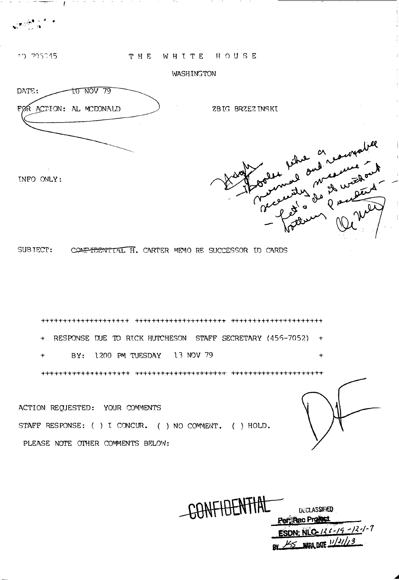. ..;�.· . .... .  $\cdots$  , ...  $\cdots$ 

# TD 705045

tNFO ONLY:

THE WHITE HOUSE

## WASHINGTON



アライン かいしゃ しょうしょうしゃ

ZBIG BRZEZINSKI



SUBJECT: CONFIDENTIAL H. CARTER MEMO RE SUCCESSOR ID CARDS

++-+-H·+-H++++++++++t+ +++++++++++++r+++++-t--t- +++++++++++-t+++++++++  $+$  RESPONSE DUE TO RICK HUTCHESON STAFF SECRETARY (456-7052)  $+$ BY: 1200 PM TUESDAY 13 NOV 79 +++++++++++-r++-t +++++ +++++++-t-++++++ +++++++ +++ ++++++++++++++++++

ACTION REQUESTED: YOUR COMMENTS STAFF RESPONSE: ( ) I CONCUR. ( ) NO COMMENT. ( ) HOLD. PLEASE NOTE OTHER COMMENTS BELOW:

CONFIDENTIAL **DECLASSIFIED** Per Rac Profect ESDN: NLC-136-19-12-1-7 BY 45 NAPA DATE 1/2/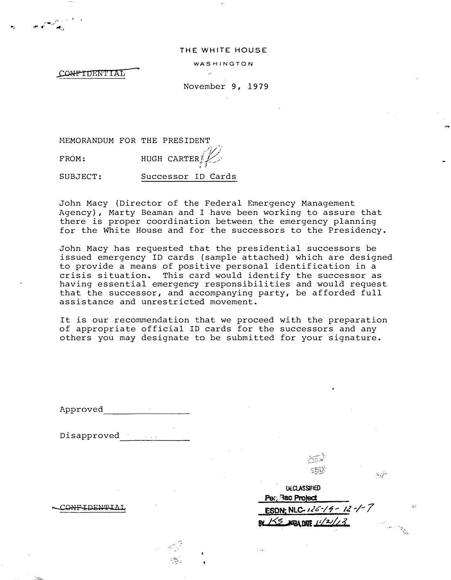### THE WHITE HOUSE

WASHINGTON

CONFIDENTIAL

November 9, 1979

MEMORANDUM FOR THE PRESIDENT

, $\partial \mathcal{L}^{\prime}$ FROM: HUGH CARTER]  $7^\sim$ 

SUBJECT: Successor ID Cards

John Macy (Director of the Federal Emergency Management Agency), Marty Beaman and I have been working to assure that there is proper coordination between the emergency planning for the White House and for the successors to the Presidency.

John Macy has requested that the presidential successors be issued emergency ID cards (sample attached) which are designed. to provide a means of positive personal identification in a crisis situation. This card would identify the successor as having essential emergency responsibilities and would request that the successor, and accompanying party, be afforded full assistance and unrestricted movement.

It is our recommendation that we proceed with the preparation of appropriate official ID cards for the successors and any others you may designate to be submitted for your signature. and unrestric<br>ecommendation<br>ate official<br>may designate<br>expressed and the set of ficial

Approved \_\_ \_\_\_\_\_\_\_\_\_\_ \_\_

Disapproved

CONFIDENTIAL

--· ... , ·.

| <b>UECLASSIFED</b><br>Per: Rac Project |  |
|----------------------------------------|--|
| ESDN: NLC-126-19-12-1-7                |  |
| BY 155 ABA DATE 11/21/13               |  |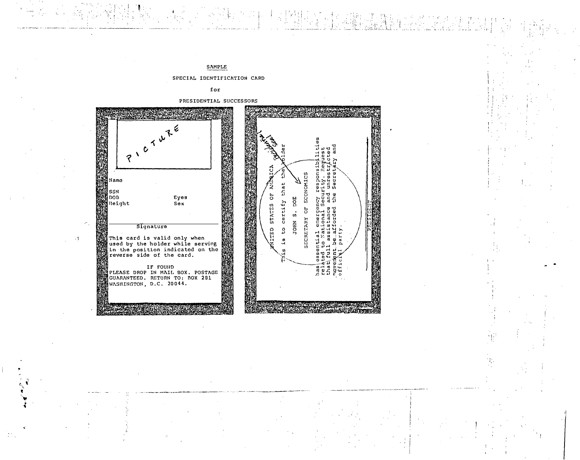

Ŧ.

SAMPLE

?

Name

SSN

 $\log$ 

 $\rightarrow 7$ 

Height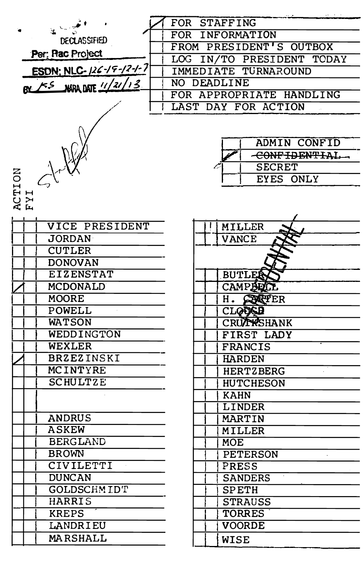|                         | FOR STAFFING              |
|-------------------------|---------------------------|
| <b>DECLAS SIFIED</b>    | FOR INFORMATION           |
| Per: Rac Project        | FROM PRESIDENT'S OUTBOX   |
|                         | LOG IN/TO PRESIDENT TODAY |
| ESDN: NLC-126-19-12-1-7 | IMMEDIATE TURNAROUND      |
| BY FS WAR DATE 11/21/13 | NO DEADLINE               |
|                         | FOR APPROPRIATE HANDLING  |
|                         | LAST DAY FOR ACTION       |
|                         |                           |
|                         |                           |
|                         | <b>ADMIN CONFID</b>       |
|                         | CONFIDENTIAL              |
|                         | <b>SECRET</b>             |
| $\sigma_{\text{tot}}$   | EYES ONLY                 |
| ACTION<br>FYI           |                           |
|                         |                           |
|                         |                           |
| <b>VICE PRESIDENT</b>   | <b>MILLER</b>             |
| <b>JORDAN</b>           | VANCE                     |
| <b>CUTLER</b>           |                           |
| <b>DONOVAN</b>          |                           |
| <b>EIZENSTAT</b>        | <b>BUTLES</b>             |
| <b>MCDONALD</b>         | CAMPBELL                  |
| <b>MOORE</b>            | H. SERVER                 |
| POWELL                  | <b>CLODED</b>             |
| <b>WATSON</b>           | CRUTTESHANK               |
| WEDDINGTON              | FIRST LADY                |
| <b>WEXLER</b>           | <b>FRANCIS</b>            |
| <b>BRZEZINSKI</b>       | <b>HARDEN</b>             |
| <b>MCINTYRE</b>         | <b>HERTZBERG</b>          |
| <b>SCHULTZE</b>         | <b>HUTCHESON</b>          |
|                         | <b>KAHN</b>               |
|                         | <b>LINDER</b>             |
| <b>ANDRUS</b>           | <b>MARTIN</b>             |
| <b>ASKEW</b>            | <b>MILLER</b>             |
| <b>BERGLAND</b>         | <b>MOE</b>                |
| <b>BROWN</b>            | <b>PETERSON</b>           |
| CIVILETTI               | PRESS                     |
| <b>DUNCAN</b>           | <b>SANDERS</b>            |
| GOLDSCHMIDT             | <b>SPETH</b>              |
| HARRIS                  | <b>STRAUSS</b>            |
| <b>KREPS</b>            | <b>TORRES</b>             |
| LANDRIEU                | <b>VOORDE</b>             |
| MARSHALL                | <b>WISE</b>               |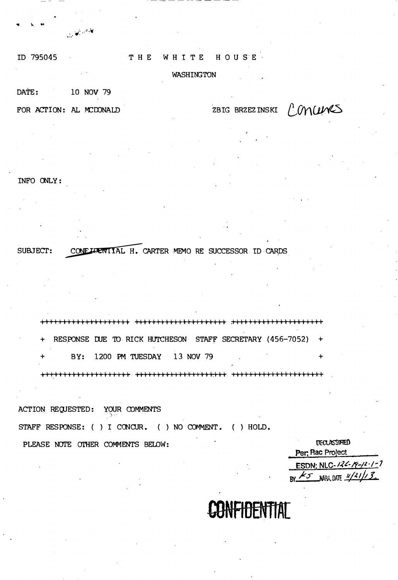# ID 795045

#### THE WHITE HOUSE

# **WASHINGTON**

### DATE: 10 NOV 79

FOR ACTION: AL MCDONALD

يون مارس المريض المريض المريض المريض المريض المريض المريض المريض المريض المريض المريض المريض المريض المريض الم<br>المريض المريض المريض المريض المريض المريض المريض المريض المريض المريض المريض المريض المريض المريض المريض المري

ZBIG BRZEZ INSKI CONCUMS

INFO ONLY:

CONFIDENTIAL H. CARTER MEMO RE SUCCESSOR ID CARDS SUBJECT:

+ RESPONSE DUE TO RICK HUTCHESON STAFF SECRETARY (456-7052) + BY: 1200 PM TUESDAY 13 NOV 79  $\rightarrow$ 

ACTION REQUESTED: YOUR COMMENTS STAFF RESPONSE: ( ) I CONCUR. ( ) NO COMMENT. ( ) HOLD.

PLEASE NOTE OTHER COMMENTS BELOW:

**DECLASSIFIED** Per, Rac Project ESDN: NLC-126-19-12-1-7  $\kappa$  KS NARA DATE  $\frac{\mu/21}{2}$ 

**ONFIDENTIAT**